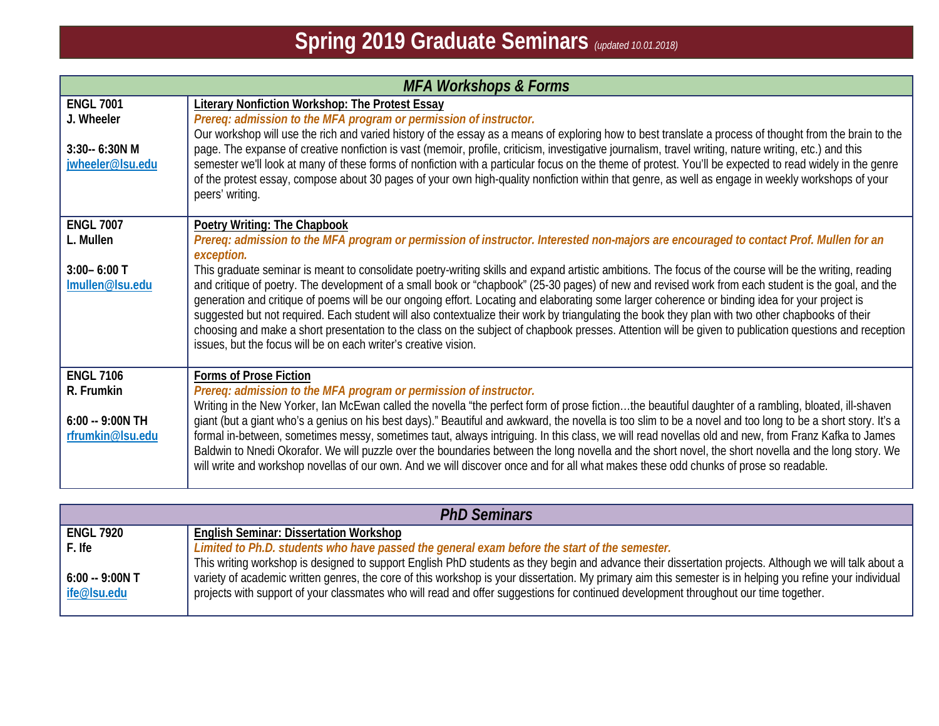| <b>MFA Workshops &amp; Forms</b>                                        |                                                                                                                                                                                                                                                                                                                                                                                                                                                                                                                                                                                                                                                                                                                                                                                                                                                                                                                                                                                                                                           |
|-------------------------------------------------------------------------|-------------------------------------------------------------------------------------------------------------------------------------------------------------------------------------------------------------------------------------------------------------------------------------------------------------------------------------------------------------------------------------------------------------------------------------------------------------------------------------------------------------------------------------------------------------------------------------------------------------------------------------------------------------------------------------------------------------------------------------------------------------------------------------------------------------------------------------------------------------------------------------------------------------------------------------------------------------------------------------------------------------------------------------------|
| <b>ENGL 7001</b><br>J. Wheeler<br>3:30-- 6:30N M<br>jwheeler@lsu.edu    | <b>Literary Nonfiction Workshop: The Protest Essay</b><br>Prereq: admission to the MFA program or permission of instructor.<br>Our workshop will use the rich and varied history of the essay as a means of exploring how to best translate a process of thought from the brain to the<br>page. The expanse of creative nonfiction is vast (memoir, profile, criticism, investigative journalism, travel writing, nature writing, etc.) and this<br>semester we'll look at many of these forms of nonfiction with a particular focus on the theme of protest. You'll be expected to read widely in the genre<br>of the protest essay, compose about 30 pages of your own high-quality nonfiction within that genre, as well as engage in weekly workshops of your<br>peers' writing.                                                                                                                                                                                                                                                      |
| <b>ENGL 7007</b><br>L. Mullen<br>$3:00 - 6:00$ T<br>Imullen@Isu.edu     | Poetry Writing: The Chapbook<br>Prereq: admission to the MFA program or permission of instructor. Interested non-majors are encouraged to contact Prof. Mullen for an<br>exception.<br>This graduate seminar is meant to consolidate poetry-writing skills and expand artistic ambitions. The focus of the course will be the writing, reading<br>and critique of poetry. The development of a small book or "chapbook" (25-30 pages) of new and revised work from each student is the goal, and the<br>generation and critique of poems will be our ongoing effort. Locating and elaborating some larger coherence or binding idea for your project is<br>suggested but not required. Each student will also contextualize their work by triangulating the book they plan with two other chapbooks of their<br>choosing and make a short presentation to the class on the subject of chapbook presses. Attention will be given to publication questions and reception<br>issues, but the focus will be on each writer's creative vision. |
| <b>ENGL 7106</b><br>R. Frumkin<br>$6:00 - 9:00N$ TH<br>rfrumkin@lsu.edu | <b>Forms of Prose Fiction</b><br>Prereq: admission to the MFA program or permission of instructor.<br>Writing in the New Yorker, Ian McEwan called the novella "the perfect form of prose fictionthe beautiful daughter of a rambling, bloated, ill-shaven<br>giant (but a giant who's a genius on his best days)." Beautiful and awkward, the novella is too slim to be a novel and too long to be a short story. It's a<br>formal in-between, sometimes messy, sometimes taut, always intriguing. In this class, we will read novellas old and new, from Franz Kafka to James<br>Baldwin to Nnedi Okorafor. We will puzzle over the boundaries between the long novella and the short novel, the short novella and the long story. We<br>will write and workshop novellas of our own. And we will discover once and for all what makes these odd chunks of prose so readable.                                                                                                                                                           |

| <b>PhD Seminars</b> |                                                                                                                                                           |
|---------------------|-----------------------------------------------------------------------------------------------------------------------------------------------------------|
| <b>ENGL 7920</b>    | <b>English Seminar: Dissertation Workshop</b>                                                                                                             |
| F. Ife              | Limited to Ph.D. students who have passed the general exam before the start of the semester.                                                              |
|                     | This writing workshop is designed to support English PhD students as they begin and advance their dissertation projects. Although we will talk about a    |
| $6:00 - 9:00N$ T    | variety of academic written genres, the core of this workshop is your dissertation. My primary aim this semester is in helping you refine your individual |
| ife@lsu.edu         | projects with support of your classmates who will read and offer suggestions for continued development throughout our time together.                      |
|                     |                                                                                                                                                           |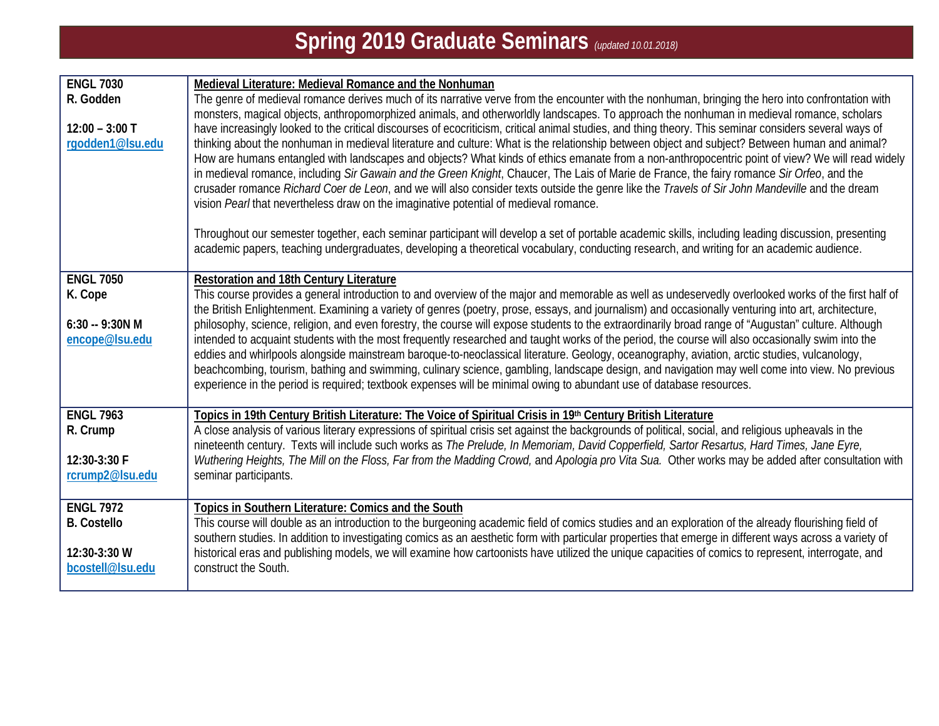| <b>ENGL 7030</b>                | Medieval Literature: Medieval Romance and the Nonhuman                                                                                                                                                                                                                                                    |
|---------------------------------|-----------------------------------------------------------------------------------------------------------------------------------------------------------------------------------------------------------------------------------------------------------------------------------------------------------|
| R. Godden                       | The genre of medieval romance derives much of its narrative verve from the encounter with the nonhuman, bringing the hero into confrontation with                                                                                                                                                         |
|                                 | monsters, magical objects, anthropomorphized animals, and otherworldly landscapes. To approach the nonhuman in medieval romance, scholars                                                                                                                                                                 |
| $12:00 - 3:00$ T                | have increasingly looked to the critical discourses of ecocriticism, critical animal studies, and thing theory. This seminar considers several ways of                                                                                                                                                    |
| rgodden1@lsu.edu                | thinking about the nonhuman in medieval literature and culture: What is the relationship between object and subject? Between human and animal?                                                                                                                                                            |
|                                 | How are humans entangled with landscapes and objects? What kinds of ethics emanate from a non-anthropocentric point of view? We will read widely                                                                                                                                                          |
|                                 | in medieval romance, including Sir Gawain and the Green Knight, Chaucer, The Lais of Marie de France, the fairy romance Sir Orfeo, and the                                                                                                                                                                |
|                                 | crusader romance Richard Coer de Leon, and we will also consider texts outside the genre like the Travels of Sir John Mandeville and the dream<br>vision Pearl that nevertheless draw on the imaginative potential of medieval romance.                                                                   |
|                                 |                                                                                                                                                                                                                                                                                                           |
|                                 | Throughout our semester together, each seminar participant will develop a set of portable academic skills, including leading discussion, presenting                                                                                                                                                       |
|                                 | academic papers, teaching undergraduates, developing a theoretical vocabulary, conducting research, and writing for an academic audience.                                                                                                                                                                 |
|                                 |                                                                                                                                                                                                                                                                                                           |
| <b>ENGL 7050</b>                | Restoration and 18th Century Literature                                                                                                                                                                                                                                                                   |
| K. Cope                         | This course provides a general introduction to and overview of the major and memorable as well as undeservedly overlooked works of the first half of                                                                                                                                                      |
| $6:30 - 9:30N M$                | the British Enlightenment. Examining a variety of genres (poetry, prose, essays, and journalism) and occasionally venturing into art, architecture,                                                                                                                                                       |
| encope@lsu.edu                  | philosophy, science, religion, and even forestry, the course will expose students to the extraordinarily broad range of "Augustan" culture. Although<br>intended to acquaint students with the most frequently researched and taught works of the period, the course will also occasionally swim into the |
|                                 | eddies and whirlpools alongside mainstream baroque-to-neoclassical literature. Geology, oceanography, aviation, arctic studies, vulcanology,                                                                                                                                                              |
|                                 | beachcombing, tourism, bathing and swimming, culinary science, gambling, landscape design, and navigation may well come into view. No previous                                                                                                                                                            |
|                                 | experience in the period is required; textbook expenses will be minimal owing to abundant use of database resources.                                                                                                                                                                                      |
|                                 |                                                                                                                                                                                                                                                                                                           |
| <b>ENGL 7963</b>                | Topics in 19th Century British Literature: The Voice of Spiritual Crisis in 19th Century British Literature                                                                                                                                                                                               |
| R. Crump                        | A close analysis of various literary expressions of spiritual crisis set against the backgrounds of political, social, and religious upheavals in the                                                                                                                                                     |
|                                 | nineteenth century. Texts will include such works as The Prelude, In Memoriam, David Copperfield, Sartor Resartus, Hard Times, Jane Eyre,                                                                                                                                                                 |
| 12:30-3:30 F<br>rcrump2@lsu.edu | Wuthering Heights, The Mill on the Floss, Far from the Madding Crowd, and Apologia pro Vita Sua. Other works may be added after consultation with<br>seminar participants.                                                                                                                                |
|                                 |                                                                                                                                                                                                                                                                                                           |
| <b>ENGL 7972</b>                | Topics in Southern Literature: Comics and the South                                                                                                                                                                                                                                                       |
| <b>B.</b> Costello              | This course will double as an introduction to the burgeoning academic field of comics studies and an exploration of the already flourishing field of                                                                                                                                                      |
|                                 | southern studies. In addition to investigating comics as an aesthetic form with particular properties that emerge in different ways across a variety of                                                                                                                                                   |
| 12:30-3:30 W                    | historical eras and publishing models, we will examine how cartoonists have utilized the unique capacities of comics to represent, interrogate, and                                                                                                                                                       |
| bcostell@Isu.edu                | construct the South.                                                                                                                                                                                                                                                                                      |
|                                 |                                                                                                                                                                                                                                                                                                           |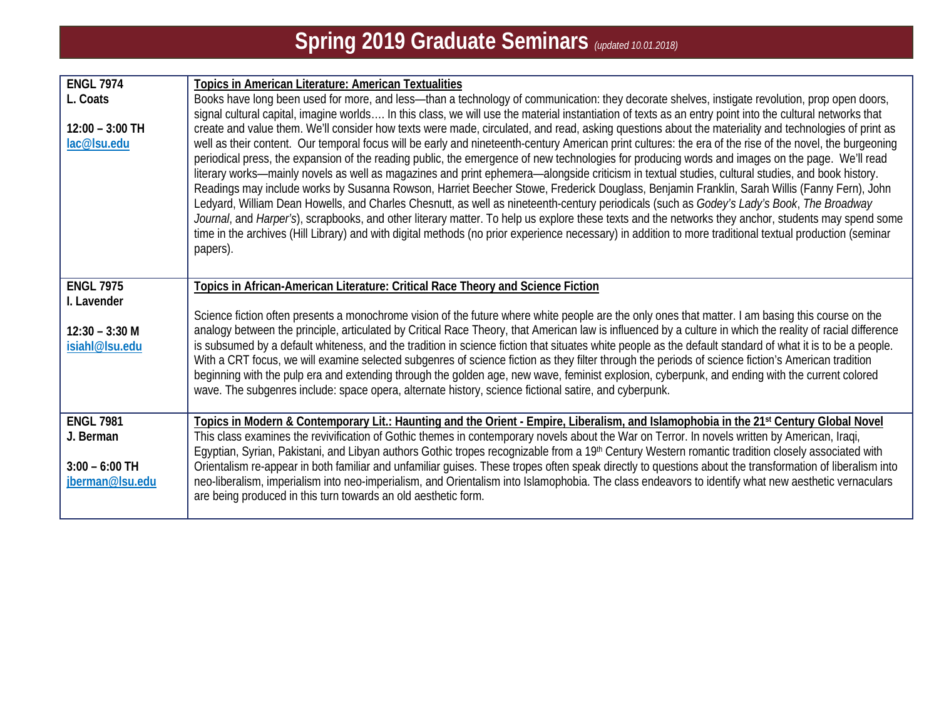| <b>ENGL 7974</b>                    | <b>Topics in American Literature: American Textualities</b>                                                                                                                                                                                                                                                                                                                                                                                                                                                                                                                                                                                                                                                                                                                                                                                                                                                                                                                                                                                                                                                                                                                                                                                                                                                                                                                                                    |
|-------------------------------------|----------------------------------------------------------------------------------------------------------------------------------------------------------------------------------------------------------------------------------------------------------------------------------------------------------------------------------------------------------------------------------------------------------------------------------------------------------------------------------------------------------------------------------------------------------------------------------------------------------------------------------------------------------------------------------------------------------------------------------------------------------------------------------------------------------------------------------------------------------------------------------------------------------------------------------------------------------------------------------------------------------------------------------------------------------------------------------------------------------------------------------------------------------------------------------------------------------------------------------------------------------------------------------------------------------------------------------------------------------------------------------------------------------------|
| L. Coats                            | Books have long been used for more, and less—than a technology of communication: they decorate shelves, instigate revolution, prop open doors,                                                                                                                                                                                                                                                                                                                                                                                                                                                                                                                                                                                                                                                                                                                                                                                                                                                                                                                                                                                                                                                                                                                                                                                                                                                                 |
| $12:00 - 3:00$ TH<br>lac@lsu.edu    | signal cultural capital, imagine worlds In this class, we will use the material instantiation of texts as an entry point into the cultural networks that<br>create and value them. We'll consider how texts were made, circulated, and read, asking questions about the materiality and technologies of print as<br>well as their content. Our temporal focus will be early and nineteenth-century American print cultures: the era of the rise of the novel, the burgeoning<br>periodical press, the expansion of the reading public, the emergence of new technologies for producing words and images on the page. We'll read<br>literary works—mainly novels as well as magazines and print ephemera—alongside criticism in textual studies, cultural studies, and book history.<br>Readings may include works by Susanna Rowson, Harriet Beecher Stowe, Frederick Douglass, Benjamin Franklin, Sarah Willis (Fanny Fern), John<br>Ledyard, William Dean Howells, and Charles Chesnutt, as well as nineteenth-century periodicals (such as Godey's Lady's Book, The Broadway<br>Journal, and Harper's), scrapbooks, and other literary matter. To help us explore these texts and the networks they anchor, students may spend some<br>time in the archives (Hill Library) and with digital methods (no prior experience necessary) in addition to more traditional textual production (seminar<br>papers). |
| <b>ENGL 7975</b>                    | Topics in African-American Literature: Critical Race Theory and Science Fiction                                                                                                                                                                                                                                                                                                                                                                                                                                                                                                                                                                                                                                                                                                                                                                                                                                                                                                                                                                                                                                                                                                                                                                                                                                                                                                                                |
| I. Lavender                         |                                                                                                                                                                                                                                                                                                                                                                                                                                                                                                                                                                                                                                                                                                                                                                                                                                                                                                                                                                                                                                                                                                                                                                                                                                                                                                                                                                                                                |
| $12:30 - 3:30$ M                    | Science fiction often presents a monochrome vision of the future where white people are the only ones that matter. I am basing this course on the<br>analogy between the principle, articulated by Critical Race Theory, that American law is influenced by a culture in which the reality of racial difference                                                                                                                                                                                                                                                                                                                                                                                                                                                                                                                                                                                                                                                                                                                                                                                                                                                                                                                                                                                                                                                                                                |
| isiahl@lsu.edu                      | is subsumed by a default whiteness, and the tradition in science fiction that situates white people as the default standard of what it is to be a people.<br>With a CRT focus, we will examine selected subgenres of science fiction as they filter through the periods of science fiction's American tradition<br>beginning with the pulp era and extending through the golden age, new wave, feminist explosion, cyberpunk, and ending with the current colored<br>wave. The subgenres include: space opera, alternate history, science fictional satire, and cyberpunk.                                                                                                                                                                                                                                                                                                                                                                                                                                                                                                                                                                                                                                                                                                                                                                                                                                     |
| <b>ENGL 7981</b>                    | Topics in Modern & Contemporary Lit.: Haunting and the Orient - Empire, Liberalism, and Islamophobia in the 21st Century Global Novel                                                                                                                                                                                                                                                                                                                                                                                                                                                                                                                                                                                                                                                                                                                                                                                                                                                                                                                                                                                                                                                                                                                                                                                                                                                                          |
| J. Berman                           | This class examines the revivification of Gothic themes in contemporary novels about the War on Terror. In novels written by American, Iraqi,                                                                                                                                                                                                                                                                                                                                                                                                                                                                                                                                                                                                                                                                                                                                                                                                                                                                                                                                                                                                                                                                                                                                                                                                                                                                  |
|                                     | Egyptian, Syrian, Pakistani, and Libyan authors Gothic tropes recognizable from a 19 <sup>th</sup> Century Western romantic tradition closely associated with                                                                                                                                                                                                                                                                                                                                                                                                                                                                                                                                                                                                                                                                                                                                                                                                                                                                                                                                                                                                                                                                                                                                                                                                                                                  |
| $3:00 - 6:00$ TH<br>jberman@lsu.edu | Orientalism re-appear in both familiar and unfamiliar guises. These tropes often speak directly to questions about the transformation of liberalism into<br>neo-liberalism, imperialism into neo-imperialism, and Orientalism into Islamophobia. The class endeavors to identify what new aesthetic vernaculars<br>are being produced in this turn towards an old aesthetic form.                                                                                                                                                                                                                                                                                                                                                                                                                                                                                                                                                                                                                                                                                                                                                                                                                                                                                                                                                                                                                              |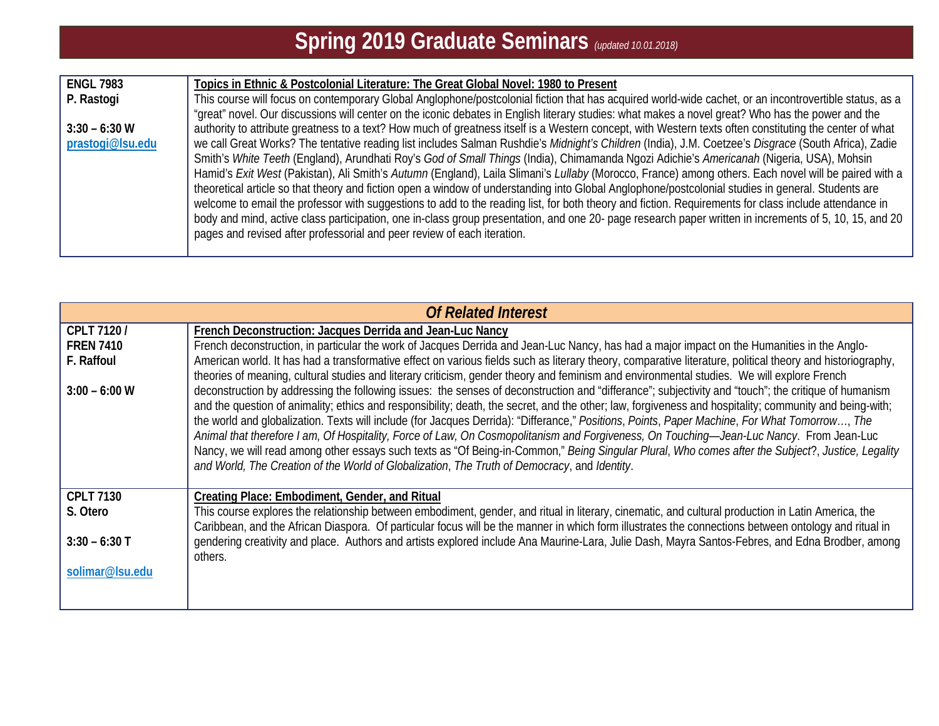| <b>ENGL 7983</b> | Topics in Ethnic & Postcolonial Literature: The Great Global Novel: 1980 to Present                                                                     |
|------------------|---------------------------------------------------------------------------------------------------------------------------------------------------------|
| P. Rastogi       | This course will focus on contemporary Global Anglophone/postcolonial fiction that has acquired world-wide cachet, or an incontrovertible status, as a  |
|                  | "great" novel. Our discussions will center on the iconic debates in English literary studies: what makes a novel great? Who has the power and the       |
| $3:30 - 6:30$ W  | authority to attribute greatness to a text? How much of greatness itself is a Western concept, with Western texts often constituting the center of what |
| prastogi@lsu.edu | we call Great Works? The tentative reading list includes Salman Rushdie's Midnight's Children (India), J.M. Coetzee's Disgrace (South Africa), Zadie    |
|                  | Smith's White Teeth (England), Arundhati Roy's God of Small Things (India), Chimamanda Ngozi Adichie's Americanah (Nigeria, USA), Mohsin                |
|                  | Hamid's Exit West (Pakistan), Ali Smith's Autumn (England), Laila Slimani's Lullaby (Morocco, France) among others. Each novel will be paired with a    |
|                  | theoretical article so that theory and fiction open a window of understanding into Global Anglophone/postcolonial studies in general. Students are      |
|                  | welcome to email the professor with suggestions to add to the reading list, for both theory and fiction. Requirements for class include attendance in   |
|                  | body and mind, active class participation, one in-class group presentation, and one 20- page research paper written in increments of 5, 10, 15, and 20  |
|                  | pages and revised after professorial and peer review of each iteration.                                                                                 |
|                  |                                                                                                                                                         |

| <b>Of Related Interest</b> |                                                                                                                                                                                                                                                                                                                                                                                                                                                                                                                                                                                                                                                                                                                                                                                                                                                                  |
|----------------------------|------------------------------------------------------------------------------------------------------------------------------------------------------------------------------------------------------------------------------------------------------------------------------------------------------------------------------------------------------------------------------------------------------------------------------------------------------------------------------------------------------------------------------------------------------------------------------------------------------------------------------------------------------------------------------------------------------------------------------------------------------------------------------------------------------------------------------------------------------------------|
| CPLT 7120/                 | French Deconstruction: Jacques Derrida and Jean-Luc Nancy                                                                                                                                                                                                                                                                                                                                                                                                                                                                                                                                                                                                                                                                                                                                                                                                        |
| <b>FREN 7410</b>           | French deconstruction, in particular the work of Jacques Derrida and Jean-Luc Nancy, has had a major impact on the Humanities in the Anglo-                                                                                                                                                                                                                                                                                                                                                                                                                                                                                                                                                                                                                                                                                                                      |
| F. Raffoul                 | American world. It has had a transformative effect on various fields such as literary theory, comparative literature, political theory and historiography,<br>theories of meaning, cultural studies and literary criticism, gender theory and feminism and environmental studies. We will explore French                                                                                                                                                                                                                                                                                                                                                                                                                                                                                                                                                         |
| $3:00 - 6:00$ W            | deconstruction by addressing the following issues: the senses of deconstruction and "differance"; subjectivity and "touch"; the critique of humanism<br>and the question of animality; ethics and responsibility; death, the secret, and the other; law, forgiveness and hospitality; community and being-with;<br>the world and globalization. Texts will include (for Jacques Derrida): "Differance," Positions, Points, Paper Machine, For What Tomorrow, The<br>Animal that therefore I am, Of Hospitality, Force of Law, On Cosmopolitanism and Forgiveness, On Touching-Jean-Luc Nancy. From Jean-Luc<br>Nancy, we will read among other essays such texts as "Of Being-in-Common," Being Singular Plural, Who comes after the Subject?, Justice, Legality<br>and World, The Creation of the World of Globalization, The Truth of Democracy, and Identity. |
| <b>CPLT 7130</b>           | Creating Place: Embodiment, Gender, and Ritual                                                                                                                                                                                                                                                                                                                                                                                                                                                                                                                                                                                                                                                                                                                                                                                                                   |
| S. Otero                   | This course explores the relationship between embodiment, gender, and ritual in literary, cinematic, and cultural production in Latin America, the<br>Caribbean, and the African Diaspora. Of particular focus will be the manner in which form illustrates the connections between ontology and ritual in                                                                                                                                                                                                                                                                                                                                                                                                                                                                                                                                                       |
| $3:30 - 6:30$ T            | gendering creativity and place. Authors and artists explored include Ana Maurine-Lara, Julie Dash, Mayra Santos-Febres, and Edna Brodber, among<br>others.                                                                                                                                                                                                                                                                                                                                                                                                                                                                                                                                                                                                                                                                                                       |
| solimar@lsu.edu            |                                                                                                                                                                                                                                                                                                                                                                                                                                                                                                                                                                                                                                                                                                                                                                                                                                                                  |
|                            |                                                                                                                                                                                                                                                                                                                                                                                                                                                                                                                                                                                                                                                                                                                                                                                                                                                                  |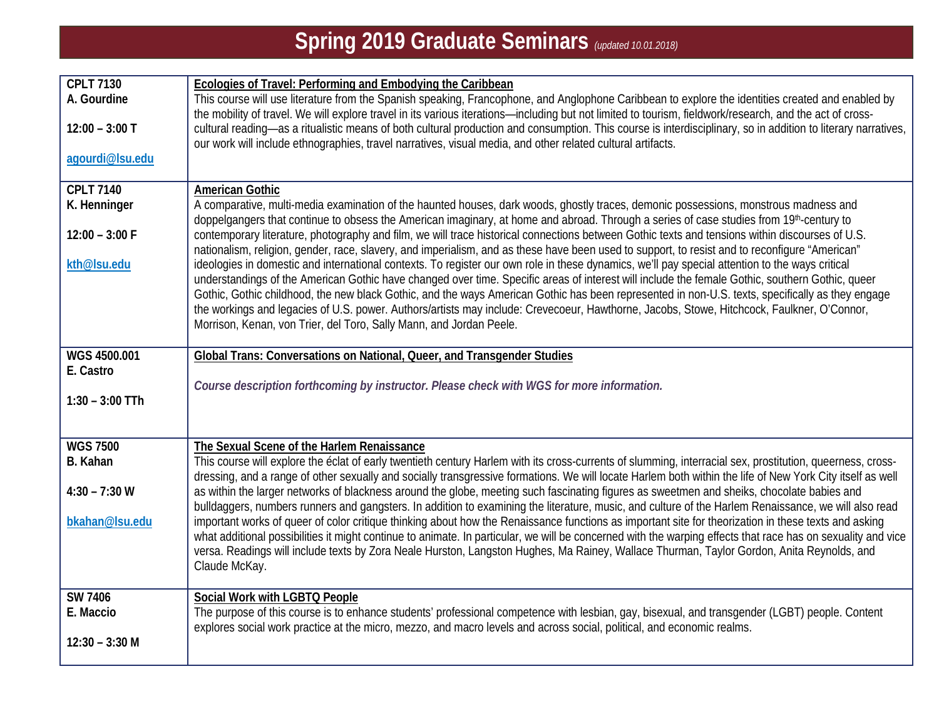| <b>CPLT 7130</b>                 | Ecologies of Travel: Performing and Embodying the Caribbean                                                                                                                                                                                                                                                                                                                                                                                                                    |
|----------------------------------|--------------------------------------------------------------------------------------------------------------------------------------------------------------------------------------------------------------------------------------------------------------------------------------------------------------------------------------------------------------------------------------------------------------------------------------------------------------------------------|
| A. Gourdine<br>$12:00 - 3:00$ T  | This course will use literature from the Spanish speaking, Francophone, and Anglophone Caribbean to explore the identities created and enabled by<br>the mobility of travel. We will explore travel in its various iterations-including but not limited to tourism, fieldwork/research, and the act of cross-<br>cultural reading-as a ritualistic means of both cultural production and consumption. This course is interdisciplinary, so in addition to literary narratives, |
| agourdi@Isu.edu                  | our work will include ethnographies, travel narratives, visual media, and other related cultural artifacts.                                                                                                                                                                                                                                                                                                                                                                    |
|                                  |                                                                                                                                                                                                                                                                                                                                                                                                                                                                                |
| <b>CPLT 7140</b><br>K. Henninger | <b>American Gothic</b><br>A comparative, multi-media examination of the haunted houses, dark woods, ghostly traces, demonic possessions, monstrous madness and                                                                                                                                                                                                                                                                                                                 |
| $12:00 - 3:00 F$                 | doppelgangers that continue to obsess the American imaginary, at home and abroad. Through a series of case studies from 19th-century to<br>contemporary literature, photography and film, we will trace historical connections between Gothic texts and tensions within discourses of U.S.                                                                                                                                                                                     |
|                                  | nationalism, religion, gender, race, slavery, and imperialism, and as these have been used to support, to resist and to reconfigure "American"                                                                                                                                                                                                                                                                                                                                 |
| kth@lsu.edu                      | ideologies in domestic and international contexts. To register our own role in these dynamics, we'll pay special attention to the ways critical<br>understandings of the American Gothic have changed over time. Specific areas of interest will include the female Gothic, southern Gothic, queer                                                                                                                                                                             |
|                                  | Gothic, Gothic childhood, the new black Gothic, and the ways American Gothic has been represented in non-U.S. texts, specifically as they engage<br>the workings and legacies of U.S. power. Authors/artists may include: Crevecoeur, Hawthorne, Jacobs, Stowe, Hitchcock, Faulkner, O'Connor,                                                                                                                                                                                 |
|                                  | Morrison, Kenan, von Trier, del Toro, Sally Mann, and Jordan Peele.                                                                                                                                                                                                                                                                                                                                                                                                            |
| WGS 4500.001                     | Global Trans: Conversations on National, Queer, and Transgender Studies                                                                                                                                                                                                                                                                                                                                                                                                        |
| E. Castro                        | Course description forthcoming by instructor. Please check with WGS for more information.                                                                                                                                                                                                                                                                                                                                                                                      |
| $1:30 - 3:00$ TTh                |                                                                                                                                                                                                                                                                                                                                                                                                                                                                                |
|                                  |                                                                                                                                                                                                                                                                                                                                                                                                                                                                                |
| <b>WGS 7500</b><br>B. Kahan      | The Sexual Scene of the Harlem Renaissance<br>This course will explore the éclat of early twentieth century Harlem with its cross-currents of slumming, interracial sex, prostitution, queerness, cross-                                                                                                                                                                                                                                                                       |
| $4:30 - 7:30 W$                  | dressing, and a range of other sexually and socially transgressive formations. We will locate Harlem both within the life of New York City itself as well<br>as within the larger networks of blackness around the globe, meeting such fascinating figures as sweetmen and sheiks, chocolate babies and                                                                                                                                                                        |
|                                  | bulldaggers, numbers runners and gangsters. In addition to examining the literature, music, and culture of the Harlem Renaissance, we will also read                                                                                                                                                                                                                                                                                                                           |
| bkahan@lsu.edu                   | important works of queer of color critique thinking about how the Renaissance functions as important site for theorization in these texts and asking<br>what additional possibilities it might continue to animate. In particular, we will be concerned with the warping effects that race has on sexuality and vice                                                                                                                                                           |
|                                  | versa. Readings will include texts by Zora Neale Hurston, Langston Hughes, Ma Rainey, Wallace Thurman, Taylor Gordon, Anita Reynolds, and<br>Claude McKay.                                                                                                                                                                                                                                                                                                                     |
| <b>SW 7406</b>                   | Social Work with LGBTQ People                                                                                                                                                                                                                                                                                                                                                                                                                                                  |
| E. Maccio                        | The purpose of this course is to enhance students' professional competence with lesbian, gay, bisexual, and transgender (LGBT) people. Content<br>explores social work practice at the micro, mezzo, and macro levels and across social, political, and economic realms.                                                                                                                                                                                                       |
| $12:30 - 3:30$ M                 |                                                                                                                                                                                                                                                                                                                                                                                                                                                                                |